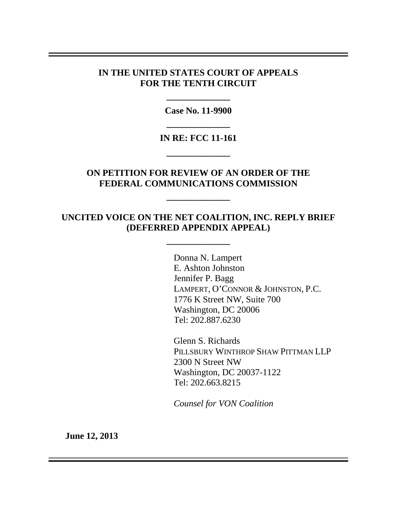#### **IN THE UNITED STATES COURT OF APPEALS FOR THE TENTH CIRCUIT**

 $\mathcal{L}_\mathcal{L}$  , and the contribution of the contribution of the contribution of the contribution of the contribution of the contribution of the contribution of the contribution of the contribution of the contribution of

**Case No. 11-9900**

**\_\_\_\_\_\_\_\_\_\_\_\_\_\_**

**\_\_\_\_\_\_\_\_\_\_\_\_\_\_**

**IN RE: FCC 11-161**

**\_\_\_\_\_\_\_\_\_\_\_\_\_\_**

#### **ON PETITION FOR REVIEW OF AN ORDER OF THE FEDERAL COMMUNICATIONS COMMISSION**

**\_\_\_\_\_\_\_\_\_\_\_\_\_\_**

### **UNCITED VOICE ON THE NET COALITION, INC. REPLY BRIEF (DEFERRED APPENDIX APPEAL)**

**\_\_\_\_\_\_\_\_\_\_\_\_\_\_**

Donna N. Lampert E. Ashton Johnston Jennifer P. Bagg LAMPERT, O'CONNOR & JOHNSTON, P.C. 1776 K Street NW, Suite 700 Washington, DC 20006 Tel: 202.887.6230

Glenn S. Richards PILLSBURY WINTHROP SHAW PITTMAN LLP 2300 N Street NW Washington, DC 20037-1122 Tel: 202.663.8215

*Counsel for VON Coalition*

**\_\_\_\_\_\_\_\_\_\_\_\_\_\_\_\_\_\_\_\_\_\_\_\_\_\_\_\_\_\_\_\_\_\_\_\_\_\_\_\_\_\_\_\_\_\_\_\_\_\_\_\_\_\_\_\_\_\_\_\_\_\_\_\_\_\_**

**June 12, 2013**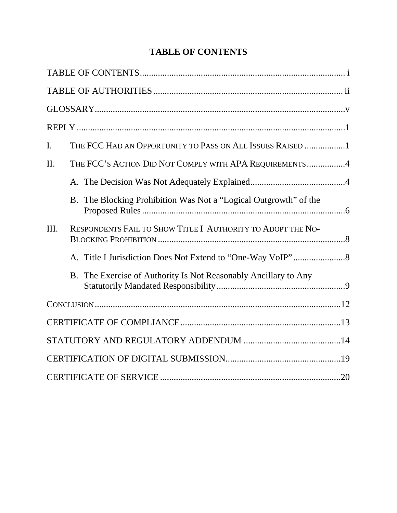# **TABLE OF CONTENTS**

<span id="page-1-0"></span>

| I.      | THE FCC HAD AN OPPORTUNITY TO PASS ON ALL ISSUES RAISED 1        |  |  |  |  |  |
|---------|------------------------------------------------------------------|--|--|--|--|--|
| $\Pi$ . | THE FCC'S ACTION DID NOT COMPLY WITH APA REQUIREMENTS4           |  |  |  |  |  |
|         |                                                                  |  |  |  |  |  |
|         | B. The Blocking Prohibition Was Not a "Logical Outgrowth" of the |  |  |  |  |  |
| Ш.      | RESPONDENTS FAIL TO SHOW TITLE I AUTHORITY TO ADOPT THE NO-      |  |  |  |  |  |
|         |                                                                  |  |  |  |  |  |
|         | B. The Exercise of Authority Is Not Reasonably Ancillary to Any  |  |  |  |  |  |
|         |                                                                  |  |  |  |  |  |
|         |                                                                  |  |  |  |  |  |
|         |                                                                  |  |  |  |  |  |
|         |                                                                  |  |  |  |  |  |
|         |                                                                  |  |  |  |  |  |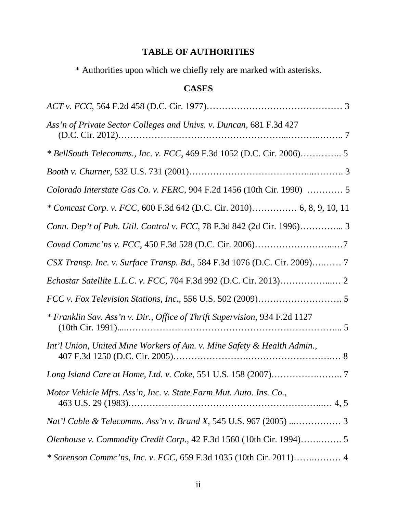# **TABLE OF AUTHORITIES**

<span id="page-2-0"></span>\* Authorities upon which we chiefly rely are marked with asterisks.

# **CASES**

| Ass'n of Private Sector Colleges and Univs. v. Duncan, 681 F.3d 427        |
|----------------------------------------------------------------------------|
|                                                                            |
|                                                                            |
|                                                                            |
|                                                                            |
|                                                                            |
|                                                                            |
| CSX Transp. Inc. v. Surface Transp. Bd., 584 F.3d 1076 (D.C. Cir. 2009) 7  |
|                                                                            |
|                                                                            |
| * Franklin Sav. Ass'n v. Dir., Office of Thrift Supervision, 934 F.2d 1127 |
| Int'l Union, United Mine Workers of Am. v. Mine Safety & Health Admin.,    |
|                                                                            |
| Motor Vehicle Mfrs. Ass'n, Inc. v. State Farm Mut. Auto. Ins. Co.,         |
|                                                                            |
| Olenhouse v. Commodity Credit Corp., 42 F.3d 1560 (10th Cir. 1994) 5       |
|                                                                            |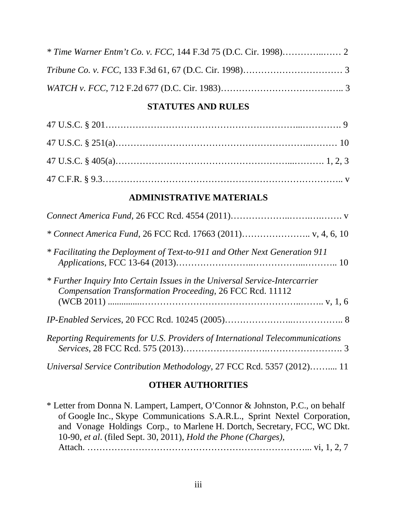### **STATUTES AND RULES**

### **ADMINISTRATIVE MATERIALS**

| * Facilitating the Deployment of Text-to-911 and Other Next Generation 911                                                               |
|------------------------------------------------------------------------------------------------------------------------------------------|
| * Further Inquiry Into Certain Issues in the Universal Service-Intercarrier<br>Compensation Transformation Proceeding, 26 FCC Rcd. 11112 |
|                                                                                                                                          |
| Reporting Requirements for U.S. Providers of International Telecommunications                                                            |
| Universal Service Contribution Methodology, 27 FCC Rcd. 5357 (2012) 11                                                                   |

### **OTHER AUTHORITIES**

\* Letter from Donna N. Lampert, Lampert, O'Connor & Johnston, P.C., on behalf of Google Inc., Skype Communications S.A.R.L., Sprint Nextel Corporation, and Vonage Holdings Corp., to Marlene H. Dortch, Secretary, FCC, WC Dkt. 10-90, *et al*. (filed Sept. 30, 2011), *Hold the Phone (Charges)*, Attach. ………………………………………………………………... vi, 1, 2, 7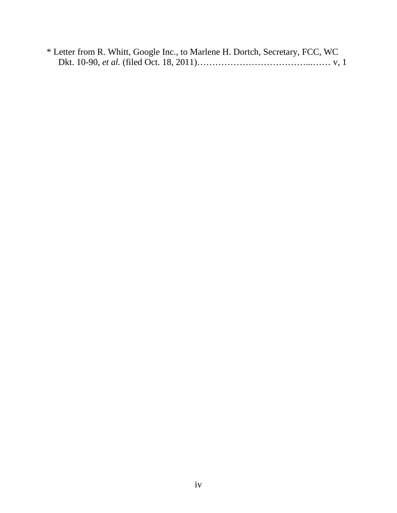<span id="page-4-0"></span>

|  |  |  |  | * Letter from R. Whitt, Google Inc., to Marlene H. Dortch, Secretary, FCC, WC |  |
|--|--|--|--|-------------------------------------------------------------------------------|--|
|  |  |  |  |                                                                               |  |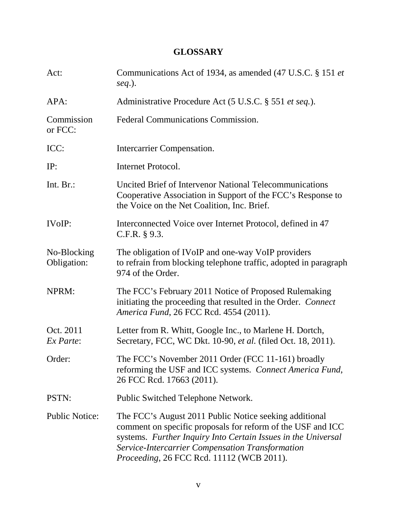## **GLOSSARY**

| Act:                       | Communications Act of 1934, as amended (47 U.S.C. § 151 et<br>$seq.$ ).                                                                                                                                                                                                                 |
|----------------------------|-----------------------------------------------------------------------------------------------------------------------------------------------------------------------------------------------------------------------------------------------------------------------------------------|
| APA:                       | Administrative Procedure Act (5 U.S.C. § 551 et seq.).                                                                                                                                                                                                                                  |
| Commission<br>or FCC:      | Federal Communications Commission.                                                                                                                                                                                                                                                      |
| ICC:                       | Intercarrier Compensation.                                                                                                                                                                                                                                                              |
| IP:                        | Internet Protocol.                                                                                                                                                                                                                                                                      |
| Int. Br.:                  | Uncited Brief of Intervenor National Telecommunications<br>Cooperative Association in Support of the FCC's Response to<br>the Voice on the Net Coalition, Inc. Brief.                                                                                                                   |
| <b>IVoIP:</b>              | Interconnected Voice over Internet Protocol, defined in 47<br>C.F.R. $§$ 9.3.                                                                                                                                                                                                           |
| No-Blocking<br>Obligation: | The obligation of IVoIP and one-way VoIP providers<br>to refrain from blocking telephone traffic, adopted in paragraph<br>974 of the Order.                                                                                                                                             |
| NPRM:                      | The FCC's February 2011 Notice of Proposed Rulemaking<br>initiating the proceeding that resulted in the Order. Connect<br>America Fund, 26 FCC Rcd. 4554 (2011).                                                                                                                        |
| Oct. 2011<br>Ex Parte:     | Letter from R. Whitt, Google Inc., to Marlene H. Dortch,<br>Secretary, FCC, WC Dkt. 10-90, et al. (filed Oct. 18, 2011).                                                                                                                                                                |
| Order:                     | The FCC's November 2011 Order (FCC 11-161) broadly<br>reforming the USF and ICC systems. Connect America Fund,<br>26 FCC Rcd. 17663 (2011).                                                                                                                                             |
| PSTN:                      | Public Switched Telephone Network.                                                                                                                                                                                                                                                      |
| <b>Public Notice:</b>      | The FCC's August 2011 Public Notice seeking additional<br>comment on specific proposals for reform of the USF and ICC<br>systems. Further Inquiry Into Certain Issues in the Universal<br>Service-Intercarrier Compensation Transformation<br>Proceeding, 26 FCC Rcd. 11112 (WCB 2011). |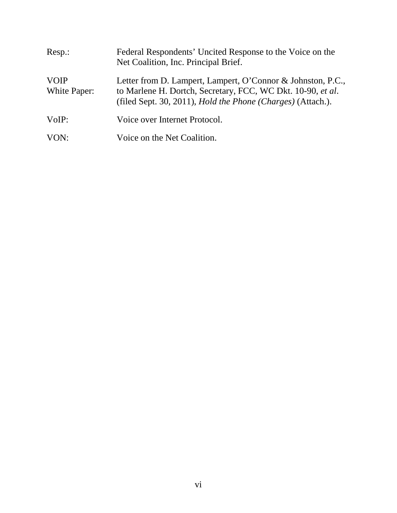| Resp.:                      | Federal Respondents' Uncited Response to the Voice on the<br>Net Coalition, Inc. Principal Brief.                                                                                                |
|-----------------------------|--------------------------------------------------------------------------------------------------------------------------------------------------------------------------------------------------|
| <b>VOIP</b><br>White Paper: | Letter from D. Lampert, Lampert, O'Connor & Johnston, P.C.,<br>to Marlene H. Dortch, Secretary, FCC, WC Dkt. 10-90, et al.<br>(filed Sept. 30, 2011), <i>Hold the Phone (Charges)</i> (Attach.). |
| VoIP:                       | Voice over Internet Protocol.                                                                                                                                                                    |
| VON:                        | Voice on the Net Coalition.                                                                                                                                                                      |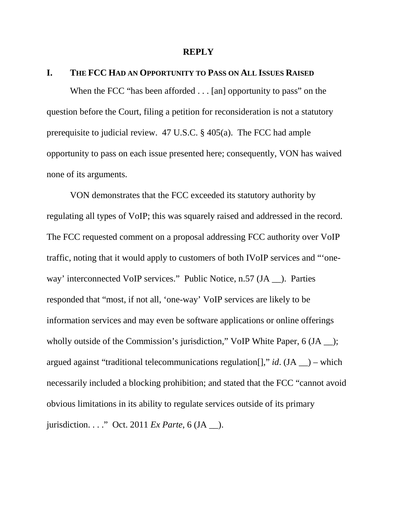#### **REPLY**

#### <span id="page-7-0"></span>**I. THE FCC HAD AN OPPORTUNITY TO PASS ON ALL ISSUES RAISED**

When the FCC "has been afforded . . . [an] opportunity to pass" on the question before the Court, filing a petition for reconsideration is not a statutory prerequisite to judicial review. 47 U.S.C. § 405(a). The FCC had ample opportunity to pass on each issue presented here; consequently, VON has waived none of its arguments.

VON demonstrates that the FCC exceeded its statutory authority by regulating all types of VoIP; this was squarely raised and addressed in the record. The FCC requested comment on a proposal addressing FCC authority over VoIP traffic, noting that it would apply to customers of both IVoIP services and "'oneway' interconnected VoIP services." Public Notice, n.57 (JA \_\_). Parties responded that "most, if not all, 'one-way' VoIP services are likely to be information services and may even be software applications or online offerings wholly outside of the Commission's jurisdiction," VoIP White Paper, 6 (JA \_\_); argued against "traditional telecommunications regulation[]," *id*. (JA \_\_) – which necessarily included a blocking prohibition; and stated that the FCC "cannot avoid obvious limitations in its ability to regulate services outside of its primary jurisdiction. . . ." Oct. 2011 *Ex Parte*, 6 (JA \_\_).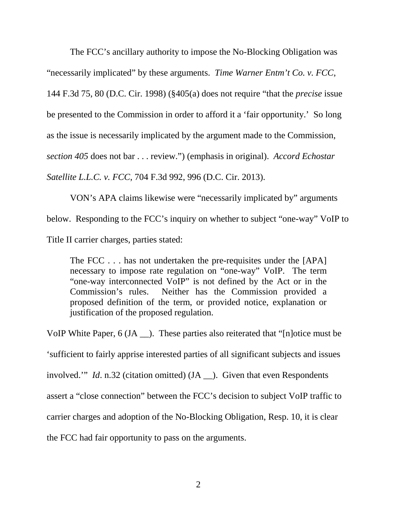The FCC's ancillary authority to impose the No-Blocking Obligation was "necessarily implicated" by these arguments. *Time Warner Entm't Co. v. FCC*, 144 F.3d 75, 80 (D.C. Cir. 1998) (§405(a) does not require "that the *precise* issue be presented to the Commission in order to afford it a 'fair opportunity.' So long as the issue is necessarily implicated by the argument made to the Commission, *section 405* does not bar . . . review.") (emphasis in original). *Accord Echostar Satellite L.L.C. v. FCC*, 704 F.3d 992, 996 (D.C. Cir. 2013).

VON's APA claims likewise were "necessarily implicated by" arguments below. Responding to the FCC's inquiry on whether to subject "one-way" VoIP to Title II carrier charges, parties stated:

The FCC . . . has not undertaken the pre-requisites under the [APA] necessary to impose rate regulation on "one-way" VoIP. The term "one-way interconnected VoIP" is not defined by the Act or in the Commission's rules. Neither has the Commission provided a proposed definition of the term, or provided notice, explanation or justification of the proposed regulation.

VoIP White Paper, 6 (JA \_\_). These parties also reiterated that "[n]otice must be 'sufficient to fairly apprise interested parties of all significant subjects and issues involved.'" *Id*. n.32 (citation omitted) (JA \_\_). Given that even Respondents assert a "close connection" between the FCC's decision to subject VoIP traffic to carrier charges and adoption of the No-Blocking Obligation, Resp. 10, it is clear the FCC had fair opportunity to pass on the arguments.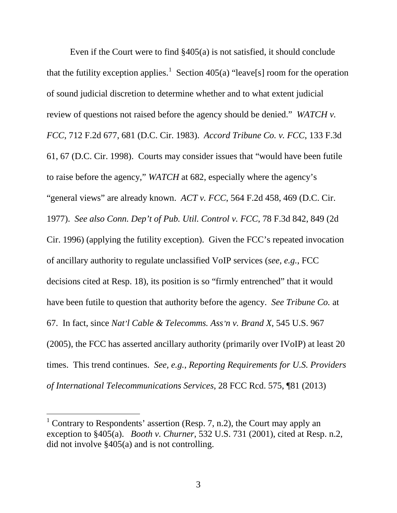Even if the Court were to find §405(a) is not satisfied, it should conclude that the futility exception applies.<sup>[1](#page-9-0)</sup> Section  $405(a)$  "leave[s] room for the operation of sound judicial discretion to determine whether and to what extent judicial review of questions not raised before the agency should be denied." *WATCH v. FCC*, 712 F.2d 677, 681 (D.C. Cir. 1983).*Accord Tribune Co. v. FCC*, 133 F.3d 61, 67 (D.C. Cir. 1998). Courts may consider issues that "would have been futile to raise before the agency," *WATCH* at 682, especially where the agency's "general views" are already known. *ACT v. FCC*, 564 F.2d 458, 469 (D.C. Cir. 1977). *See also Conn. Dep't of Pub. Util. Control v. FCC*, 78 F.3d 842, 849 (2d Cir. 1996) (applying the futility exception). Given the FCC's repeated invocation of ancillary authority to regulate unclassified VoIP services (*see, e.g.*, FCC decisions cited at Resp. 18), its position is so "firmly entrenched" that it would have been futile to question that authority before the agency. *See Tribune Co.* at 67. In fact, since *Nat'l Cable & Telecomms. Ass'n v. Brand X*, 545 U.S. 967 (2005), the FCC has asserted ancillary authority (primarily over IVoIP) at least 20 times. This trend continues. *See, e.g.*, *Reporting Requirements for U.S. Providers of International Telecommunications Services*, 28 FCC Rcd. 575, ¶81 (2013)

<span id="page-9-0"></span><sup>&</sup>lt;sup>1</sup> Contrary to Respondents' assertion (Resp. 7, n.2), the Court may apply an exception to §405(a). *Booth v. Churner*, 532 U.S. 731 (2001), cited at Resp. n.2, did not involve §405(a) and is not controlling.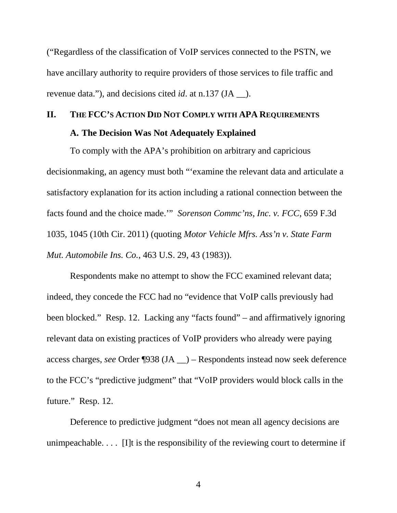("Regardless of the classification of VoIP services connected to the PSTN, we have ancillary authority to require providers of those services to file traffic and revenue data."), and decisions cited *id*. at n.137 (JA \_\_).

#### <span id="page-10-1"></span><span id="page-10-0"></span>**II. THE FCC'S ACTION DID NOT COMPLY WITH APA REQUIREMENTS**

#### **A. The Decision Was Not Adequately Explained**

To comply with the APA's prohibition on arbitrary and capricious decisionmaking, an agency must both "'examine the relevant data and articulate a satisfactory explanation for its action including a rational connection between the facts found and the choice made.'" *Sorenson Commc'ns, Inc. v. FCC*, 659 F.3d 1035, 1045 (10th Cir. 2011) (quoting *Motor Vehicle Mfrs. Ass'n v. State Farm Mut. Automobile Ins. Co.*, 463 U.S. 29, 43 (1983)).

Respondents make no attempt to show the FCC examined relevant data; indeed, they concede the FCC had no "evidence that VoIP calls previously had been blocked." Resp. 12. Lacking any "facts found" – and affirmatively ignoring relevant data on existing practices of VoIP providers who already were paying access charges, *see* Order ¶938 (JA \_\_) – Respondents instead now seek deference to the FCC's "predictive judgment" that "VoIP providers would block calls in the future." Resp. 12.

Deference to predictive judgment "does not mean all agency decisions are unimpeachable. . . . [I]t is the responsibility of the reviewing court to determine if

4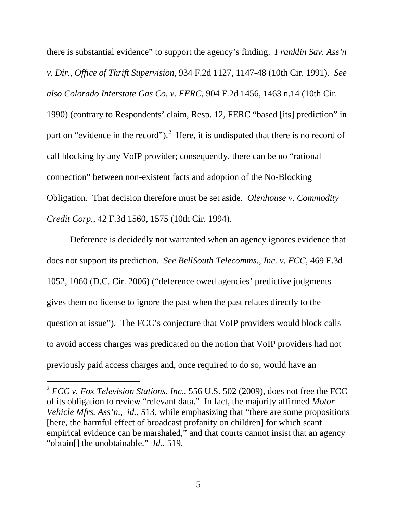there is substantial evidence" to support the agency's finding. *Franklin Sav. Ass'n v. Dir., Office of Thrift Supervision*, 934 F.2d 1127, 1147-48 (10th Cir. 1991). *See also Colorado Interstate Gas Co. v. FERC*, 904 F.2d 1456, 1463 n.14 (10th Cir. 1990) (contrary to Respondents' claim, Resp. 12, FERC "based [its] prediction" in part on "evidence in the record").<sup>[2](#page-11-0)</sup> Here, it is undisputed that there is no record of call blocking by any VoIP provider; consequently, there can be no "rational connection" between non-existent facts and adoption of the No-Blocking Obligation. That decision therefore must be set aside. *Olenhouse v. Commodity Credit Corp.*, 42 F.3d 1560, 1575 (10th Cir. 1994).

Deference is decidedly not warranted when an agency ignores evidence that does not support its prediction. *See BellSouth Telecomms., Inc. v. FCC*, 469 F.3d 1052, 1060 (D.C. Cir. 2006) ("deference owed agencies' predictive judgments gives them no license to ignore the past when the past relates directly to the question at issue"). The FCC's conjecture that VoIP providers would block calls to avoid access charges was predicated on the notion that VoIP providers had not previously paid access charges and, once required to do so, would have an

<span id="page-11-0"></span> <sup>2</sup> *FCC v. Fox Television Stations, Inc.*, 556 U.S. 502 (2009), does not free the FCC of its obligation to review "relevant data." In fact, the majority affirmed *Motor Vehicle Mfrs. Ass'n*., *id*., 513, while emphasizing that "there are some propositions [here, the harmful effect of broadcast profanity on children] for which scant empirical evidence can be marshaled," and that courts cannot insist that an agency "obtain[] the unobtainable." *Id*., 519.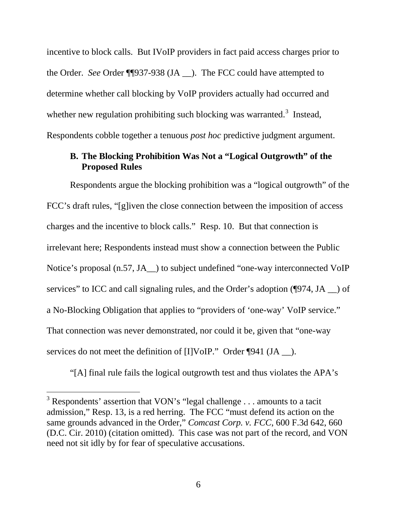incentive to block calls. But IVoIP providers in fact paid access charges prior to the Order. *See* Order ¶¶937-938 (JA \_\_). The FCC could have attempted to determine whether call blocking by VoIP providers actually had occurred and whether new regulation prohibiting such blocking was warranted.<sup>[3](#page-12-1)</sup> Instead, Respondents cobble together a tenuous *post hoc* predictive judgment argument.

### <span id="page-12-0"></span>**B. The Blocking Prohibition Was Not a "Logical Outgrowth" of the Proposed Rules**

Respondents argue the blocking prohibition was a "logical outgrowth" of the FCC's draft rules, "[g]iven the close connection between the imposition of access charges and the incentive to block calls." Resp. 10. But that connection is irrelevant here; Respondents instead must show a connection between the Public Notice's proposal (n.57, JA) to subject undefined "one-way interconnected VoIP services" to ICC and call signaling rules, and the Order's adoption (¶974, JA \_\_) of a No-Blocking Obligation that applies to "providers of 'one-way' VoIP service." That connection was never demonstrated, nor could it be, given that "one-way services do not meet the definition of [I]VoIP." Order ¶941 (JA \_\_).

"[A] final rule fails the logical outgrowth test and thus violates the APA's

<span id="page-12-1"></span> $3$  Respondents' assertion that VON's "legal challenge . . . amounts to a tacit admission," Resp. 13, is a red herring. The FCC "must defend its action on the same grounds advanced in the Order," *Comcast Corp. v. FCC*, 600 F.3d 642, 660 (D.C. Cir. 2010) (citation omitted). This case was not part of the record, and VON need not sit idly by for fear of speculative accusations.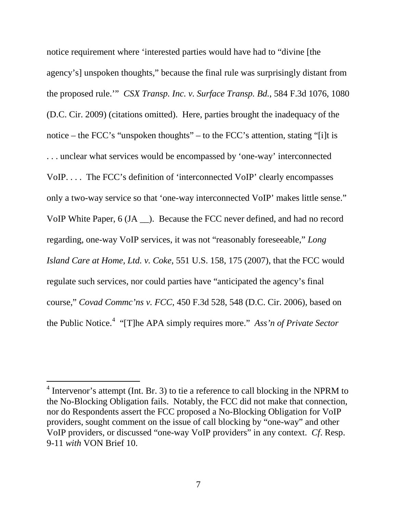notice requirement where 'interested parties would have had to "divine [the agency's] unspoken thoughts," because the final rule was surprisingly distant from the proposed rule.'" *CSX Transp. Inc. v. Surface Transp. Bd.*, 584 F.3d 1076, 1080 (D.C. Cir. 2009) (citations omitted). Here, parties brought the inadequacy of the notice – the FCC's "unspoken thoughts" – to the FCC's attention, stating "[i]t is . . . unclear what services would be encompassed by 'one-way' interconnected VoIP. . . . The FCC's definition of 'interconnected VoIP' clearly encompasses only a two-way service so that 'one-way interconnected VoIP' makes little sense." VoIP White Paper, 6 (JA \_\_). Because the FCC never defined, and had no record regarding, one-way VoIP services, it was not "reasonably foreseeable," *Long Island Care at Home, Ltd. v. Coke*, 551 U.S. 158, 175 (2007), that the FCC would regulate such services, nor could parties have "anticipated the agency's final course," *Covad Commc'ns v. FCC*, 450 F.3d 528, 548 (D.C. Cir. 2006), based on the Public Notice. [4](#page-13-0) "[T]he APA simply requires more." *Ass'n of Private Sector* 

<span id="page-13-0"></span> $<sup>4</sup>$  Intervenor's attempt (Int. Br. 3) to tie a reference to call blocking in the NPRM to</sup> the No-Blocking Obligation fails. Notably, the FCC did not make that connection, nor do Respondents assert the FCC proposed a No-Blocking Obligation for VoIP providers, sought comment on the issue of call blocking by "one-way" and other VoIP providers, or discussed "one-way VoIP providers" in any context. *Cf*. Resp. 9-11 *with* VON Brief 10.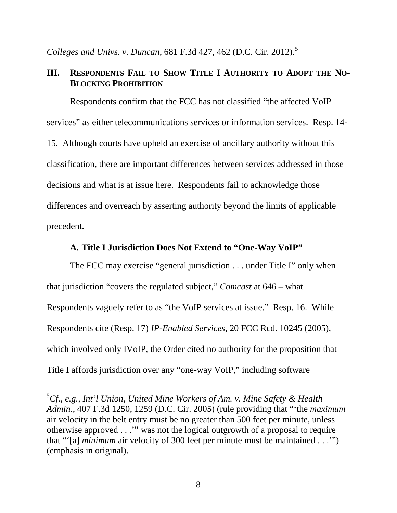*Colleges and Univs. v. Duncan,* 681 F.3d 427, 462 (D.C. Cir. 2012).<sup>[5](#page-14-2)</sup>

### <span id="page-14-0"></span>**III. RESPONDENTS FAIL TO SHOW TITLE I AUTHORITY TO ADOPT THE NO-BLOCKING PROHIBITION**

Respondents confirm that the FCC has not classified "the affected VoIP services" as either telecommunications services or information services. Resp. 14- 15. Although courts have upheld an exercise of ancillary authority without this classification, there are important differences between services addressed in those decisions and what is at issue here. Respondents fail to acknowledge those differences and overreach by asserting authority beyond the limits of applicable precedent.

### **A. Title I Jurisdiction Does Not Extend to "One-Way VoIP"**

<span id="page-14-1"></span>The FCC may exercise "general jurisdiction . . . under Title I" only when that jurisdiction "covers the regulated subject," *Comcast* at 646 – what Respondents vaguely refer to as "the VoIP services at issue." Resp. 16. While Respondents cite (Resp. 17) *IP-Enabled Services*, 20 FCC Rcd. 10245 (2005), which involved only IVoIP, the Order cited no authority for the proposition that Title I affords jurisdiction over any "one-way VoIP," including software

<span id="page-14-2"></span> <sup>5</sup> *Cf*., *e.g.*, *Int'l Union, United Mine Workers of Am. v. Mine Safety & Health Admin.*, 407 F.3d 1250, 1259 (D.C. Cir. 2005) (rule providing that "'the *maximum*  air velocity in the belt entry must be no greater than 500 feet per minute, unless otherwise approved . . .'" was not the logical outgrowth of a proposal to require that "'[a] *minimum* air velocity of 300 feet per minute must be maintained . . .'") (emphasis in original).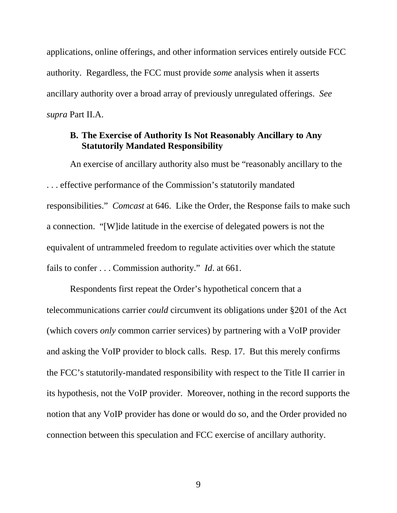applications, online offerings, and other information services entirely outside FCC authority. Regardless, the FCC must provide *some* analysis when it asserts ancillary authority over a broad array of previously unregulated offerings. *See supra* Part II.A.

### <span id="page-15-0"></span>**B. The Exercise of Authority Is Not Reasonably Ancillary to Any Statutorily Mandated Responsibility**

An exercise of ancillary authority also must be "reasonably ancillary to the . . . effective performance of the Commission's statutorily mandated responsibilities." *Comcast* at 646. Like the Order, the Response fails to make such a connection. "[W]ide latitude in the exercise of delegated powers is not the equivalent of untrammeled freedom to regulate activities over which the statute fails to confer . . . Commission authority." *Id*. at 661.

Respondents first repeat the Order's hypothetical concern that a telecommunications carrier *could* circumvent its obligations under §201 of the Act (which covers *only* common carrier services) by partnering with a VoIP provider and asking the VoIP provider to block calls. Resp. 17. But this merely confirms the FCC's statutorily-mandated responsibility with respect to the Title II carrier in its hypothesis, not the VoIP provider. Moreover, nothing in the record supports the notion that any VoIP provider has done or would do so, and the Order provided no connection between this speculation and FCC exercise of ancillary authority.

9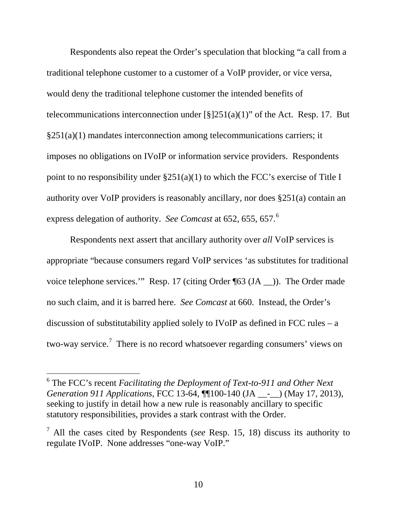Respondents also repeat the Order's speculation that blocking "a call from a traditional telephone customer to a customer of a VoIP provider, or vice versa, would deny the traditional telephone customer the intended benefits of telecommunications interconnection under  $\lceil \frac{8}{251(a)(1)} \rceil$  of the Act. Resp. 17. But §251(a)(1) mandates interconnection among telecommunications carriers; it imposes no obligations on IVoIP or information service providers. Respondents point to no responsibility under §251(a)(1) to which the FCC's exercise of Title I authority over VoIP providers is reasonably ancillary, nor does §251(a) contain an express delegation of authority. *See Comcast* at 652, 655, 657. [6](#page-16-0)

Respondents next assert that ancillary authority over *all* VoIP services is appropriate "because consumers regard VoIP services 'as substitutes for traditional voice telephone services.'" Resp. 17 (citing Order ¶63 (JA \_\_)). The Order made no such claim, and it is barred here. *See Comcast* at 660. Instead, the Order's discussion of substitutability applied solely to IVoIP as defined in FCC rules –  $a$ two-way service.<sup>[7](#page-16-1)</sup> There is no record whatsoever regarding consumers' views on

<span id="page-16-0"></span> <sup>6</sup> The FCC's recent *Facilitating the Deployment of Text-to-911 and Other Next Generation 911 Applications*, FCC 13-64, ¶¶100-140 (JA \_\_-\_\_) (May 17, 2013), seeking to justify in detail how a new rule is reasonably ancillary to specific statutory responsibilities, provides a stark contrast with the Order.

<span id="page-16-1"></span><sup>7</sup> All the cases cited by Respondents (*see* Resp. 15, 18) discuss its authority to regulate IVoIP. None addresses "one-way VoIP."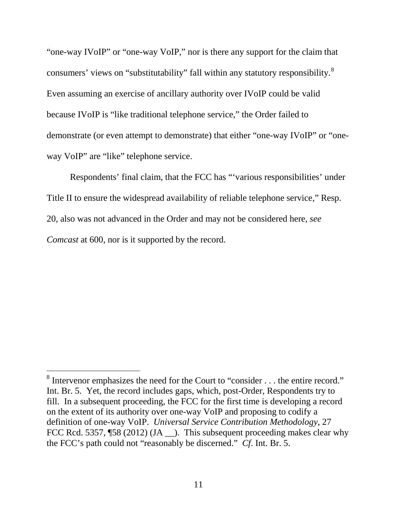"one-way IVoIP" or "one-way VoIP," nor is there any support for the claim that consumers' views on "substitutability" fall within any statutory responsibility.<sup>[8](#page-17-1)</sup> Even assuming an exercise of ancillary authority over IVoIP could be valid because IVoIP is "like traditional telephone service," the Order failed to demonstrate (or even attempt to demonstrate) that either "one-way IVoIP" or "oneway VoIP" are "like" telephone service.

<span id="page-17-0"></span>Respondents' final claim, that the FCC has "'various responsibilities' under Title II to ensure the widespread availability of reliable telephone service," Resp. 20, also was not advanced in the Order and may not be considered here, *see Comcast* at 600, nor is it supported by the record.

<span id="page-17-1"></span><sup>&</sup>lt;sup>8</sup> Intervenor emphasizes the need for the Court to "consider . . . the entire record." Int. Br. 5. Yet, the record includes gaps, which, post-Order, Respondents try to fill. In a subsequent proceeding, the FCC for the first time is developing a record on the extent of its authority over one-way VoIP and proposing to codify a definition of one-way VoIP. *Universal Service Contribution Methodology*, 27 FCC Rcd. 5357, ¶58 (2012) (JA \_\_). This subsequent proceeding makes clear why the FCC's path could not "reasonably be discerned." *Cf*. Int. Br. 5.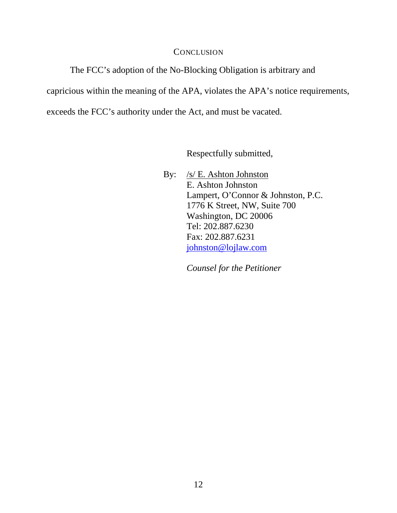#### **CONCLUSION**

The FCC's adoption of the No-Blocking Obligation is arbitrary and

capricious within the meaning of the APA, violates the APA's notice requirements,

exceeds the FCC's authority under the Act, and must be vacated.

Respectfully submitted,

By: E. Ashton Johnston /s/ E. Ashton Johnston Lampert, O'Connor & Johnston, P.C. 1776 K Street, NW, Suite 700 Washington, DC 20006 Tel: 202.887.6230 Fax: 202.887.6231 [johnston@lojlaw.com](mailto:johnston@lojlaw.com)

*Counsel for the Petitioner*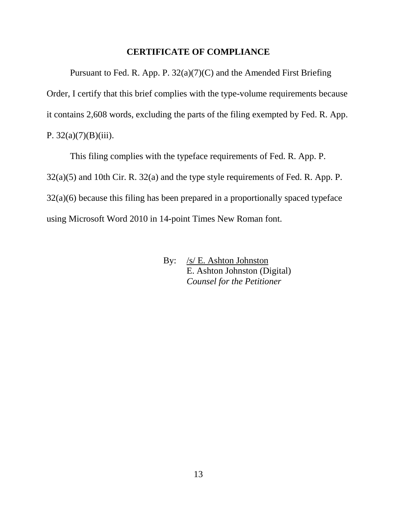#### **CERTIFICATE OF COMPLIANCE**

<span id="page-19-0"></span>Pursuant to Fed. R. App. P. 32(a)(7)(C) and the Amended First Briefing Order, I certify that this brief complies with the type-volume requirements because it contains 2,608 words, excluding the parts of the filing exempted by Fed. R. App. P.  $32(a)(7)(B)(iii)$ .

This filing complies with the typeface requirements of Fed. R. App. P. 32(a)(5) and 10th Cir. R. 32(a) and the type style requirements of Fed. R. App. P. 32(a)(6) because this filing has been prepared in a proportionally spaced typeface using Microsoft Word 2010 in 14-point Times New Roman font.

> By: /s/ E. Ashton Johnston E. Ashton Johnston (Digital) *Counsel for the Petitioner*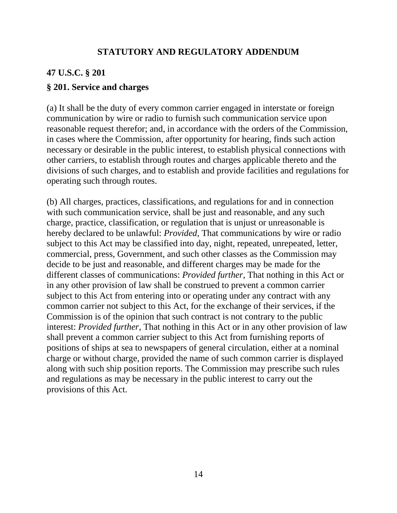### **STATUTORY AND REGULATORY ADDENDUM**

### <span id="page-20-0"></span>**47 U.S.C. § 201**

### **§ 201. Service and charges**

(a) It shall be the duty of every common carrier engaged in interstate or foreign communication by wire or radio to furnish such communication service upon reasonable request therefor; and, in accordance with the orders of the Commission, in cases where the Commission, after opportunity for hearing, finds such action necessary or desirable in the public interest, to establish physical connections with other carriers, to establish through routes and charges applicable thereto and the divisions of such charges, and to establish and provide facilities and regulations for operating such through routes.

(b) All charges, practices, classifications, and regulations for and in connection with such communication service, shall be just and reasonable, and any such charge, practice, classification, or regulation that is unjust or unreasonable is hereby declared to be unlawful: *Provided,* That communications by wire or radio subject to this Act may be classified into day, night, repeated, unrepeated, letter, commercial, press, Government, and such other classes as the Commission may decide to be just and reasonable, and different charges may be made for the different classes of communications: *Provided further,* That nothing in this Act or in any other provision of law shall be construed to prevent a common carrier subject to this Act from entering into or operating under any contract with any common carrier not subject to this Act, for the exchange of their services, if the Commission is of the opinion that such contract is not contrary to the public interest: *Provided further,* That nothing in this Act or in any other provision of law shall prevent a common carrier subject to this Act from furnishing reports of positions of ships at sea to newspapers of general circulation, either at a nominal charge or without charge, provided the name of such common carrier is displayed along with such ship position reports. The Commission may prescribe such rules and regulations as may be necessary in the public interest to carry out the provisions of this Act.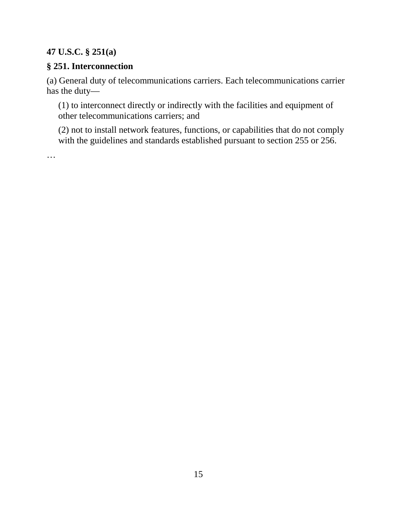## **47 U.S.C. § 251(a)**

### **§ 251. Interconnection**

(a) General duty of telecommunications carriers. Each telecommunications carrier has the duty—

(1) to interconnect directly or indirectly with the facilities and equipment of other telecommunications carriers; and

(2) not to install network features, functions, or capabilities that do not comply with the guidelines and standards established pursuant to section 255 or 256.

…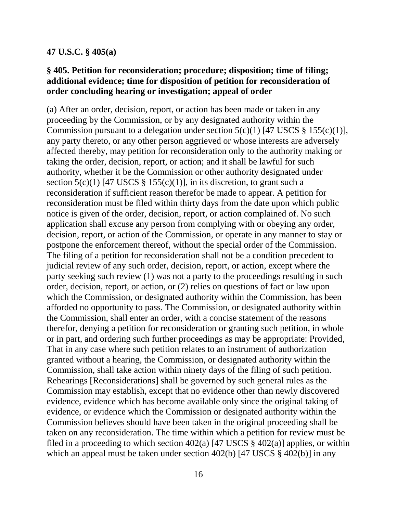#### **47 U.S.C. § 405(a)**

### **§ 405. Petition for reconsideration; procedure; disposition; time of filing; additional evidence; time for disposition of petition for reconsideration of order concluding hearing or investigation; appeal of order**

(a) After an order, decision, report, or action has been made or taken in any proceeding by the Commission, or by any designated authority within the Commission pursuant to a delegation under section  $5(c)(1)$  [47 USCS § 155(c)(1)], any party thereto, or any other person aggrieved or whose interests are adversely affected thereby, may petition for reconsideration only to the authority making or taking the order, decision, report, or action; and it shall be lawful for such authority, whether it be the Commission or other authority designated under section  $5(c)(1)$  [47 USCS § 155(c)(1)], in its discretion, to grant such a reconsideration if sufficient reason therefor be made to appear. A petition for reconsideration must be filed within thirty days from the date upon which public notice is given of the order, decision, report, or action complained of. No such application shall excuse any person from complying with or obeying any order, decision, report, or action of the Commission, or operate in any manner to stay or postpone the enforcement thereof, without the special order of the Commission. The filing of a petition for reconsideration shall not be a condition precedent to judicial review of any such order, decision, report, or action, except where the party seeking such review (1) was not a party to the proceedings resulting in such order, decision, report, or action, or (2) relies on questions of fact or law upon which the Commission, or designated authority within the Commission, has been afforded no opportunity to pass. The Commission, or designated authority within the Commission, shall enter an order, with a concise statement of the reasons therefor, denying a petition for reconsideration or granting such petition, in whole or in part, and ordering such further proceedings as may be appropriate: Provided, That in any case where such petition relates to an instrument of authorization granted without a hearing, the Commission, or designated authority within the Commission, shall take action within ninety days of the filing of such petition. Rehearings [Reconsiderations] shall be governed by such general rules as the Commission may establish, except that no evidence other than newly discovered evidence, evidence which has become available only since the original taking of evidence, or evidence which the Commission or designated authority within the Commission believes should have been taken in the original proceeding shall be taken on any reconsideration. The time within which a petition for review must be filed in a proceeding to which section  $402(a)$  [47 USCS § 402(a)] applies, or within which an appeal must be taken under section 402(b) [47 USCS § 402(b)] in any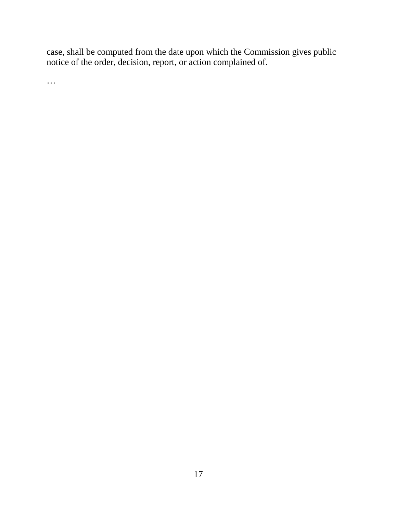case, shall be computed from the date upon which the Commission gives public notice of the order, decision, report, or action complained of.

…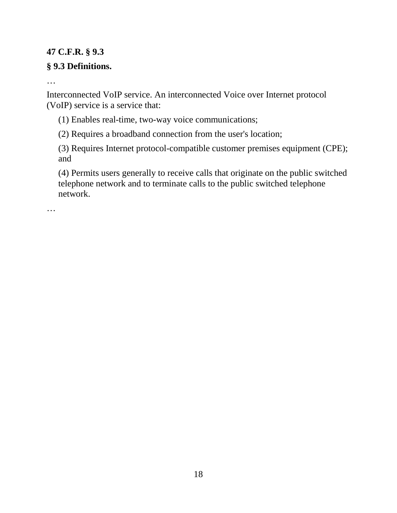# **47 C.F.R. § 9.3**

## **§ 9.3 Definitions.**

…

Interconnected VoIP service. An interconnected Voice over Internet protocol (VoIP) service is a service that:

(1) Enables real-time, two-way voice communications;

(2) Requires a broadband connection from the user's location;

(3) Requires Internet protocol-compatible customer premises equipment (CPE); and

(4) Permits users generally to receive calls that originate on the public switched telephone network and to terminate calls to the public switched telephone network.

…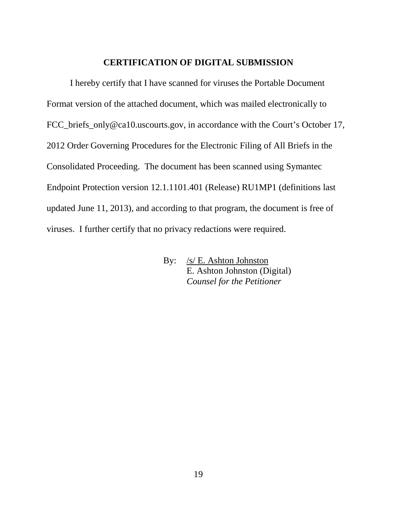#### **CERTIFICATION OF DIGITAL SUBMISSION**

<span id="page-25-0"></span>I hereby certify that I have scanned for viruses the Portable Document Format version of the attached document, which was mailed electronically to FCC\_briefs\_only@ca10.uscourts.gov, in accordance with the Court's October 17, 2012 Order Governing Procedures for the Electronic Filing of All Briefs in the Consolidated Proceeding. The document has been scanned using Symantec Endpoint Protection version 12.1.1101.401 (Release) RU1MP1 (definitions last updated June 11, 2013), and according to that program, the document is free of viruses. I further certify that no privacy redactions were required.

> By: /s/ E. Ashton Johnston E. Ashton Johnston (Digital) *Counsel for the Petitioner*